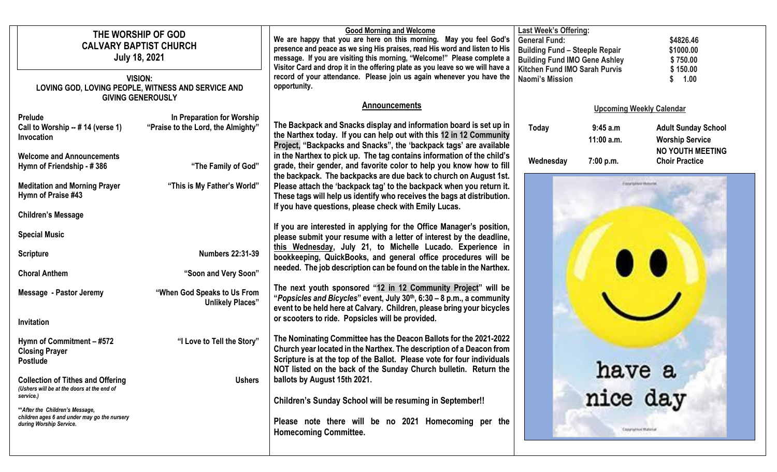| THE WORSHIP OF GOD<br><b>CALVARY BAPTIST CHURCH</b><br><b>July 18, 2021</b><br>VISION:<br>LOVING GOD, LOVING PEOPLE, WITNESS AND SERVICE AND<br><b>GIVING GENEROUSLY</b>                                                                                                                    |                                                                                                                                          | <b>Good Morning and Welcome</b><br>We are happy that you are here on this morning. May you feel God's<br>presence and peace as we sing His praises, read His word and listen to His<br>message. If you are visiting this morning, "Welcome!" Please complete a<br>Visitor Card and drop it in the offering plate as you leave so we will have a<br>record of your attendance. Please join us again whenever you have the<br>opportunity.                                                                                                                                                                                                                                                                                                                                                                                                     | <b>Last Week's Offering:</b><br><b>General Fund:</b><br><b>Building Fund - Steeple Repair</b><br><b>Building Fund IMO Gene Ashley</b><br><b>Kitchen Fund IMO Sarah Purvis</b><br><b>Naomi's Mission</b> |                                                                   | \$4826.46<br>\$1000.00<br>\$750.00<br>\$150.00<br>\$ 1.00                                                                                   |
|---------------------------------------------------------------------------------------------------------------------------------------------------------------------------------------------------------------------------------------------------------------------------------------------|------------------------------------------------------------------------------------------------------------------------------------------|----------------------------------------------------------------------------------------------------------------------------------------------------------------------------------------------------------------------------------------------------------------------------------------------------------------------------------------------------------------------------------------------------------------------------------------------------------------------------------------------------------------------------------------------------------------------------------------------------------------------------------------------------------------------------------------------------------------------------------------------------------------------------------------------------------------------------------------------|---------------------------------------------------------------------------------------------------------------------------------------------------------------------------------------------------------|-------------------------------------------------------------------|---------------------------------------------------------------------------------------------------------------------------------------------|
| Prelude<br>Call to Worship -- # 14 (verse 1)<br>Invocation<br><b>Welcome and Announcements</b><br>Hymn of Friendship - #386                                                                                                                                                                 | In Preparation for Worship<br>"Praise to the Lord, the Almighty"<br>"The Family of God"                                                  | <b>Announcements</b><br>The Backpack and Snacks display and information board is set up in<br>the Narthex today. If you can help out with this 12 in 12 Community<br>Project, "Backpacks and Snacks", the 'backpack tags' are available<br>in the Narthex to pick up. The tag contains information of the child's<br>grade, their gender, and favorite color to help you know how to fill<br>the backpack. The backpacks are due back to church on August 1st.                                                                                                                                                                                                                                                                                                                                                                               | <b>Today</b><br>Wednesday                                                                                                                                                                               | 9:45 a.m<br>11:00 a.m.<br>7:00 p.m.<br><b>Evans subbra Museum</b> | <b>Upcoming Weekly Calendar</b><br><b>Adult Sunday School</b><br><b>Worship Service</b><br><b>NO YOUTH MEETING</b><br><b>Choir Practice</b> |
| <b>Meditation and Morning Prayer</b><br>Hymn of Praise #43<br><b>Children's Message</b><br><b>Special Music</b><br><b>Scripture</b><br><b>Choral Anthem</b><br>Message - Pastor Jeremy<br><b>Invitation</b>                                                                                 | "This is My Father's World"<br><b>Numbers 22:31-39</b><br>"Soon and Very Soon"<br>"When God Speaks to Us From<br><b>Unlikely Places"</b> | Please attach the 'backpack tag' to the backpack when you return it.<br>These tags will help us identify who receives the bags at distribution.<br>If you have questions, please check with Emily Lucas.<br>If you are interested in applying for the Office Manager's position,<br>please submit your resume with a letter of interest by the deadline,<br>this Wednesday, July 21, to Michelle Lucado. Experience in<br>bookkeeping, QuickBooks, and general office procedures will be<br>needed. The job description can be found on the table in the Narthex.<br>The next youth sponsored "12 in 12 Community Project" will be<br>"Popsicles and Bicycles" event, July $30th$ , 6:30 – 8 p.m., a community<br>event to be held here at Calvary. Children, please bring your bicycles<br>or scooters to ride. Popsicles will be provided. |                                                                                                                                                                                                         |                                                                   |                                                                                                                                             |
| Hymn of Commitment - #572<br><b>Closing Prayer</b><br><b>Postlude</b><br><b>Collection of Tithes and Offering</b><br>(Ushers will be at the doors at the end of<br>service.)<br>** After the Children's Message,<br>children ages 6 and under may go the nursery<br>during Worship Service. | "I Love to Tell the Story"<br><b>Ushers</b>                                                                                              | The Nominating Committee has the Deacon Ballots for the 2021-2022<br>Church year located in the Narthex. The description of a Deacon from<br>Scripture is at the top of the Ballot. Please vote for four individuals<br>NOT listed on the back of the Sunday Church bulletin. Return the<br>ballots by August 15th 2021.<br><b>Children's Sunday School will be resuming in September!!</b><br>Please note there will be no 2021 Homecoming per the<br><b>Homecoming Committee.</b>                                                                                                                                                                                                                                                                                                                                                          |                                                                                                                                                                                                         | nave a<br>nice day<br>Class to his Material                       |                                                                                                                                             |